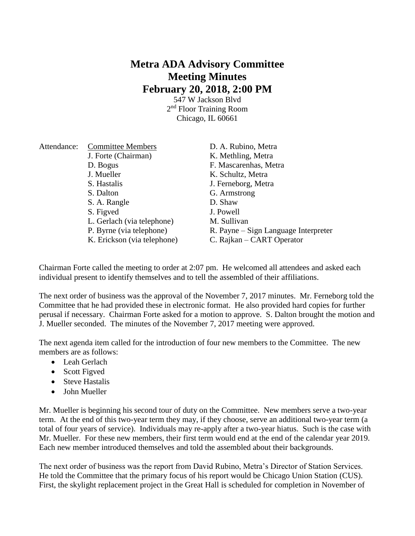## **Metra ADA Advisory Committee Meeting Minutes February 20, 2018, 2:00 PM**

547 W Jackson Blvd 2<sup>nd</sup> Floor Training Room Chicago, IL 60661

| Attendance: | <b>Committee Members</b>    | D. A. Rubino, Metra                  |
|-------------|-----------------------------|--------------------------------------|
|             | J. Forte (Chairman)         | K. Methling, Metra                   |
|             | D. Bogus                    | F. Mascarenhas, Metra                |
|             | J. Mueller                  | K. Schultz, Metra                    |
|             | S. Hastalis                 | J. Ferneborg, Metra                  |
|             | S. Dalton                   | G. Armstrong                         |
|             | S. A. Rangle                | D. Shaw                              |
|             | S. Figved                   | J. Powell                            |
|             | L. Gerlach (via telephone)  | M. Sullivan                          |
|             | P. Byrne (via telephone)    | R. Payne – Sign Language Interpreter |
|             | K. Erickson (via telephone) | C. Rajkan – CART Operator            |

Chairman Forte called the meeting to order at 2:07 pm. He welcomed all attendees and asked each individual present to identify themselves and to tell the assembled of their affiliations.

The next order of business was the approval of the November 7, 2017 minutes. Mr. Ferneborg told the Committee that he had provided these in electronic format. He also provided hard copies for further perusal if necessary. Chairman Forte asked for a motion to approve. S. Dalton brought the motion and J. Mueller seconded. The minutes of the November 7, 2017 meeting were approved.

The next agenda item called for the introduction of four new members to the Committee. The new members are as follows:

- Leah Gerlach
- Scott Figved
- Steve Hastalis
- John Mueller

Mr. Mueller is beginning his second tour of duty on the Committee. New members serve a two-year term. At the end of this two-year term they may, if they choose, serve an additional two-year term (a total of four years of service). Individuals may re-apply after a two-year hiatus. Such is the case with Mr. Mueller. For these new members, their first term would end at the end of the calendar year 2019. Each new member introduced themselves and told the assembled about their backgrounds.

The next order of business was the report from David Rubino, Metra's Director of Station Services. He told the Committee that the primary focus of his report would be Chicago Union Station (CUS). First, the skylight replacement project in the Great Hall is scheduled for completion in November of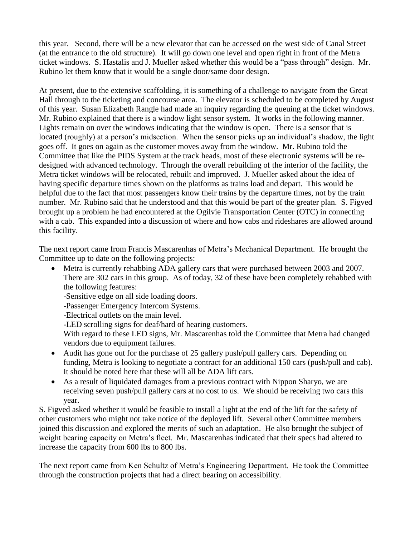this year. Second, there will be a new elevator that can be accessed on the west side of Canal Street (at the entrance to the old structure). It will go down one level and open right in front of the Metra ticket windows. S. Hastalis and J. Mueller asked whether this would be a "pass through" design. Mr. Rubino let them know that it would be a single door/same door design.

At present, due to the extensive scaffolding, it is something of a challenge to navigate from the Great Hall through to the ticketing and concourse area. The elevator is scheduled to be completed by August of this year. Susan Elizabeth Rangle had made an inquiry regarding the queuing at the ticket windows. Mr. Rubino explained that there is a window light sensor system. It works in the following manner. Lights remain on over the windows indicating that the window is open. There is a sensor that is located (roughly) at a person's midsection. When the sensor picks up an individual's shadow, the light goes off. It goes on again as the customer moves away from the window. Mr. Rubino told the Committee that like the PIDS System at the track heads, most of these electronic systems will be redesigned with advanced technology. Through the overall rebuilding of the interior of the facility, the Metra ticket windows will be relocated, rebuilt and improved. J. Mueller asked about the idea of having specific departure times shown on the platforms as trains load and depart. This would be helpful due to the fact that most passengers know their trains by the departure times, not by the train number. Mr. Rubino said that he understood and that this would be part of the greater plan. S. Figved brought up a problem he had encountered at the Ogilvie Transportation Center (OTC) in connecting with a cab. This expanded into a discussion of where and how cabs and rideshares are allowed around this facility.

The next report came from Francis Mascarenhas of Metra's Mechanical Department. He brought the Committee up to date on the following projects:

 Metra is currently rehabbing ADA gallery cars that were purchased between 2003 and 2007. There are 302 cars in this group. As of today, 32 of these have been completely rehabbed with the following features:

-Sensitive edge on all side loading doors.

-Passenger Emergency Intercom Systems.

-Electrical outlets on the main level.

-LED scrolling signs for deaf/hard of hearing customers.

With regard to these LED signs, Mr. Mascarenhas told the Committee that Metra had changed vendors due to equipment failures.

- Audit has gone out for the purchase of 25 gallery push/pull gallery cars. Depending on funding, Metra is looking to negotiate a contract for an additional 150 cars (push/pull and cab). It should be noted here that these will all be ADA lift cars.
- As a result of liquidated damages from a previous contract with Nippon Sharyo, we are receiving seven push/pull gallery cars at no cost to us. We should be receiving two cars this year.

S. Figved asked whether it would be feasible to install a light at the end of the lift for the safety of other customers who might not take notice of the deployed lift. Several other Committee members joined this discussion and explored the merits of such an adaptation. He also brought the subject of weight bearing capacity on Metra's fleet. Mr. Mascarenhas indicated that their specs had altered to increase the capacity from 600 lbs to 800 lbs.

The next report came from Ken Schultz of Metra's Engineering Department. He took the Committee through the construction projects that had a direct bearing on accessibility.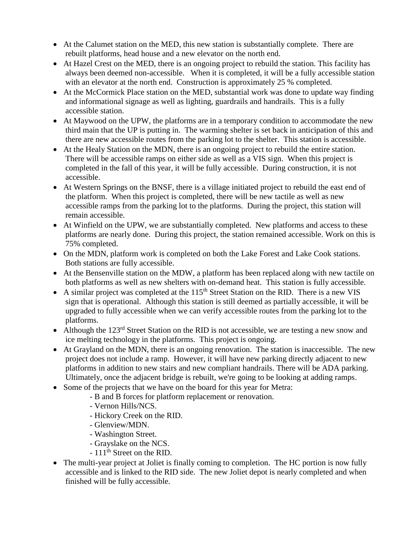- At the Calumet station on the MED, this new station is substantially complete. There are rebuilt platforms, head house and a new elevator on the north end.
- At Hazel Crest on the MED, there is an ongoing project to rebuild the station. This facility has always been deemed non-accessible. When it is completed, it will be a fully accessible station with an elevator at the north end. Construction is approximately 25 % completed.
- At the McCormick Place station on the MED, substantial work was done to update way finding and informational signage as well as lighting, guardrails and handrails. This is a fully accessible station.
- At Maywood on the UPW, the platforms are in a temporary condition to accommodate the new third main that the UP is putting in. The warming shelter is set back in anticipation of this and there are new accessible routes from the parking lot to the shelter. This station is accessible.
- At the Healy Station on the MDN, there is an ongoing project to rebuild the entire station. There will be accessible ramps on either side as well as a VIS sign. When this project is completed in the fall of this year, it will be fully accessible. During construction, it is not accessible.
- At Western Springs on the BNSF, there is a village initiated project to rebuild the east end of the platform. When this project is completed, there will be new tactile as well as new accessible ramps from the parking lot to the platforms. During the project, this station will remain accessible.
- At Winfield on the UPW, we are substantially completed. New platforms and access to these platforms are nearly done. During this project, the station remained accessible. Work on this is 75% completed.
- On the MDN, platform work is completed on both the Lake Forest and Lake Cook stations. Both stations are fully accessible.
- At the Bensenville station on the MDW, a platform has been replaced along with new tactile on both platforms as well as new shelters with on-demand heat. This station is fully accessible.
- A similar project was completed at the  $115<sup>th</sup>$  Street Station on the RID. There is a new VIS sign that is operational. Although this station is still deemed as partially accessible, it will be upgraded to fully accessible when we can verify accessible routes from the parking lot to the platforms.
- Although the  $123<sup>rd</sup>$  Street Station on the RID is not accessible, we are testing a new snow and ice melting technology in the platforms. This project is ongoing.
- At Grayland on the MDN, there is an ongoing renovation. The station is inaccessible. The new project does not include a ramp. However, it will have new parking directly adjacent to new platforms in addition to new stairs and new compliant handrails. There will be ADA parking. Ultimately, once the adjacent bridge is rebuilt, we're going to be looking at adding ramps.
- Some of the projects that we have on the board for this year for Metra:
	- B and B forces for platform replacement or renovation.
	- Vernon Hills/NCS.
	- Hickory Creek on the RID.
	- Glenview/MDN.
	- Washington Street.
	- Grayslake on the NCS.
	- 111<sup>th</sup> Street on the RID.
- The multi-year project at Joliet is finally coming to completion. The HC portion is now fully accessible and is linked to the RID side. The new Joliet depot is nearly completed and when finished will be fully accessible.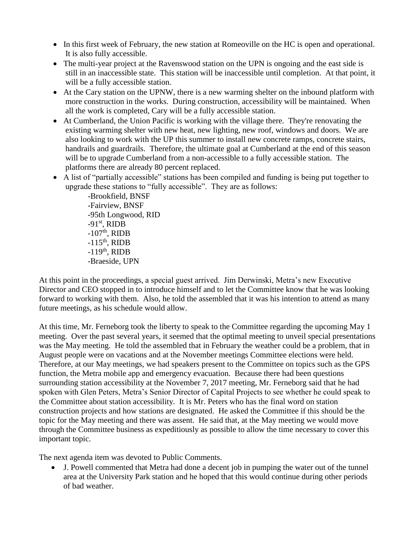- In this first week of February, the new station at Romeoville on the HC is open and operational. It is also fully accessible.
- The multi-year project at the Ravenswood station on the UPN is ongoing and the east side is still in an inaccessible state. This station will be inaccessible until completion. At that point, it will be a fully accessible station.
- At the Cary station on the UPNW, there is a new warming shelter on the inbound platform with more construction in the works. During construction, accessibility will be maintained. When all the work is completed, Cary will be a fully accessible station.
- At Cumberland, the Union Pacific is working with the village there. They're renovating the existing warming shelter with new heat, new lighting, new roof, windows and doors. We are also looking to work with the UP this summer to install new concrete ramps, concrete stairs, handrails and guardrails. Therefore, the ultimate goal at Cumberland at the end of this season will be to upgrade Cumberland from a non-accessible to a fully accessible station. The platforms there are already 80 percent replaced.
- A list of "partially accessible" stations has been compiled and funding is being put together to upgrade these stations to "fully accessible". They are as follows:

-Brookfield, BNSF -Fairview, BNSF -95th Longwood, RID  $-91<sup>st</sup>$ , RIDB  $-107<sup>th</sup>$ , RIDB  $-115$ <sup>th</sup>, RIDB  $-119<sup>th</sup>$ , RIDB -Braeside, UPN

At this point in the proceedings, a special guest arrived. Jim Derwinski, Metra's new Executive Director and CEO stopped in to introduce himself and to let the Committee know that he was looking forward to working with them. Also, he told the assembled that it was his intention to attend as many future meetings, as his schedule would allow.

At this time, Mr. Ferneborg took the liberty to speak to the Committee regarding the upcoming May 1 meeting. Over the past several years, it seemed that the optimal meeting to unveil special presentations was the May meeting. He told the assembled that in February the weather could be a problem, that in August people were on vacations and at the November meetings Committee elections were held. Therefore, at our May meetings, we had speakers present to the Committee on topics such as the GPS function, the Metra mobile app and emergency evacuation. Because there had been questions surrounding station accessibility at the November 7, 2017 meeting, Mr. Ferneborg said that he had spoken with Glen Peters, Metra's Senior Director of Capital Projects to see whether he could speak to the Committee about station accessibility. It is Mr. Peters who has the final word on station construction projects and how stations are designated. He asked the Committee if this should be the topic for the May meeting and there was assent. He said that, at the May meeting we would move through the Committee business as expeditiously as possible to allow the time necessary to cover this important topic.

The next agenda item was devoted to Public Comments.

 J. Powell commented that Metra had done a decent job in pumping the water out of the tunnel area at the University Park station and he hoped that this would continue during other periods of bad weather.